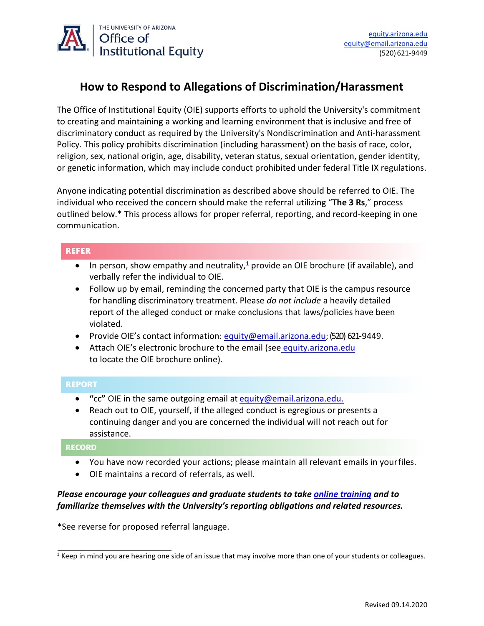

## **How to Respond to Allegations of Discrimination/Harassment**

The Office of Institutional Equity (OIE) supports efforts to uphold the University's commitment to creating and maintaining a working and learning environment that is inclusive and free of discriminatory conduct as required by the University's Nondiscrimination and Anti-harassment Policy. This policy prohibits discrimination (including harassment) on the basis of race, color, religion, sex, national origin, age, disability, veteran status, sexual orientation, gender identity, or genetic information, which may include conduct prohibited under federal Title IX regulations.

Anyone indicating potential discrimination as described above should be referred to OIE. The individual who received the concern should make the referral utilizing "**The 3 Rs**," process outlined below.\* This process allows for proper referral, reporting, and record-keeping in one communication.

#### **REFER**

- In person, show empathy and neutrality,<sup>1</sup> provide an OIE brochure (if available), and verbally refer the individual to OIE.
- Follow up by email, reminding the concerned party that OIE is the campus resource for handling discriminatory treatment. Please *do not include* a heavily detailed report of the alleged conduct or make conclusions that laws/policies have been violated.
- Provide OIE's contact information: equity@email.arizona.edu; (520) 621-9449.
- Attach OIE's electronic brochure to the email (see equity.arizona.edu to locate the OIE brochure online).

#### **REPORT**

- **"**cc**"** OIE in the same outgoing email at equity@email.arizona.edu.
- Reach out to OIE, yourself, if the alleged conduct is egregious or presents a continuing danger and you are concerned the individual will not reach out for assistance.

#### **RECORD**

- You have now recorded your actions; please maintain all relevant emails in yourfiles.
- OIE maintains a record of referrals, as well.

### *Please encourage your colleagues and graduate students to take [online training](https://equity.arizona.edu/training/online-training) and to familiarize themselves with the University's reporting obligations and related resources.*

\*See reverse for proposed referral language.

 $1$  Keep in mind you are hearing one side of an issue that may involve more than one of your students or colleagues.